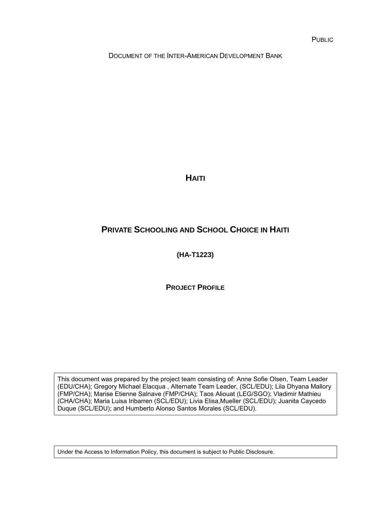DOCUMENT OF THE INTER-AMERICAN DEVELOPMENT BANK

**HAITI**

# **PRIVATE SCHOOLING AND SCHOOL CHOICE IN HAITI**

**(HA-T1223)**

**PROJECT PROFILE**

This document was prepared by the project team consisting of: Anne Sofie Olsen, Team Leader (EDU/CHA); Gregory Michael Elacqua , Alternate Team Leader, (SCL/EDU); Lila Dhyana Mallory (FMP/CHA); Marise Etienne Salnave (FMP/CHA); Taos Aliouat (LEG/SGO); Vladimir Mathieu (CHA/CHA); Maria Luisa Iribarren (SCL/EDU); Livia Elisa,Mueller (SCL/EDU); Juanita Caycedo Duque (SCL/EDU); and Humberto Alonso Santos Morales (SCL/EDU).

Under the Access to Information Policy, this document is subject to Public Disclosure.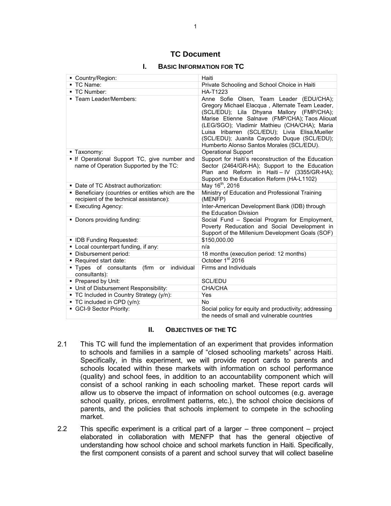### **TC Document**

#### **I. BASIC INFORMATION FOR TC**

| ■ Country/Region:                                                                             | Haiti                                                                                                                                                                                                                                                                                                                                                                                     |
|-----------------------------------------------------------------------------------------------|-------------------------------------------------------------------------------------------------------------------------------------------------------------------------------------------------------------------------------------------------------------------------------------------------------------------------------------------------------------------------------------------|
| ■ TC Name:                                                                                    | Private Schooling and School Choice in Haiti                                                                                                                                                                                                                                                                                                                                              |
| ■ TC Number:                                                                                  | <b>HA-T1223</b>                                                                                                                                                                                                                                                                                                                                                                           |
| - Team Leader/Members:                                                                        | Anne Sofie Olsen, Team Leader (EDU/CHA);<br>Gregory Michael Elacqua, Alternate Team Leader,<br>(SCL/EDU); Lila Dhyana Mallory (FMP/CHA);<br>Marise Etienne Salnave (FMP/CHA); Taos Aliouat<br>(LEG/SGO); Vladimir Mathieu (CHA/CHA); Maria<br>Luisa Iribarren (SCL/EDU); Livia Elisa, Mueller<br>(SCL/EDU); Juanita Caycedo Duque (SCL/EDU);<br>Humberto Alonso Santos Morales (SCL/EDU). |
| ■ Taxonomy:                                                                                   | <b>Operational Support</b>                                                                                                                                                                                                                                                                                                                                                                |
| . If Operational Support TC, give number and<br>name of Operation Supported by the TC:        | Support for Haiti's reconstruction of the Education<br>Sector (2464/GR-HA); Support to the Education<br>Plan and Reform in Haiti-IV (3355/GR-HA);<br>Support to the Education Reform (HA-L1102)                                                                                                                                                                                           |
| • Date of TC Abstract authorization:                                                          | May 16 <sup>th</sup> , 2016                                                                                                                                                                                                                                                                                                                                                               |
| • Beneficiary (countries or entities which are the<br>recipient of the technical assistance): | Ministry of Education and Professional Training<br>(MENFP)                                                                                                                                                                                                                                                                                                                                |
| • Executing Agency:                                                                           | Inter-American Development Bank (IDB) through<br>the Education Division                                                                                                                                                                                                                                                                                                                   |
| • Donors providing funding:                                                                   | Social Fund - Special Program for Employment,<br>Poverty Reducation and Social Development in<br>Support of the Millenium Development Goals (SOF)                                                                                                                                                                                                                                         |
| • IDB Funding Requested:                                                                      | \$150,000.00                                                                                                                                                                                                                                                                                                                                                                              |
| • Local counterpart funding, if any:                                                          | n/a                                                                                                                                                                                                                                                                                                                                                                                       |
| · Disbursement period:                                                                        | 18 months (execution period: 12 months)                                                                                                                                                                                                                                                                                                                                                   |
| Required start date:                                                                          | October 1 <sup>st</sup> 2016                                                                                                                                                                                                                                                                                                                                                              |
| Types of consultants<br>(firm or<br>individual<br>consultants):                               | Firms and Individuals                                                                                                                                                                                                                                                                                                                                                                     |
| • Prepared by Unit:                                                                           | SCL/EDU                                                                                                                                                                                                                                                                                                                                                                                   |
| • Unit of Disbursement Responsibility:                                                        | CHA/CHA                                                                                                                                                                                                                                                                                                                                                                                   |
| • TC Included in Country Strategy (y/n):                                                      | Yes                                                                                                                                                                                                                                                                                                                                                                                       |
| ■ TC included in CPD (y/n):                                                                   | <b>No</b>                                                                                                                                                                                                                                                                                                                                                                                 |
| GCI-9 Sector Priority:                                                                        | Social policy for equity and productivity; addressing<br>the needs of small and vulnerable countries                                                                                                                                                                                                                                                                                      |

#### **II. OBJECTIVES OF THE TC**

- 2.1 This TC will fund the implementation of an experiment that provides information to schools and families in a sample of "closed schooling markets" across Haiti. Specifically, in this experiment, we will provide report cards to parents and schools located within these markets with information on school performance (quality) and school fees, in addition to an accountability component which will consist of a school ranking in each schooling market. These report cards will allow us to observe the impact of information on school outcomes (e.g. average school quality, prices, enrollment patterns, etc.), the school choice decisions of parents, and the policies that schools implement to compete in the schooling market.
- 2.2 This specific experiment is a critical part of a larger three component project elaborated in collaboration with MENFP that has the general objective of understanding how school choice and school markets function in Haiti. Specifically, the first component consists of a parent and school survey that will collect baseline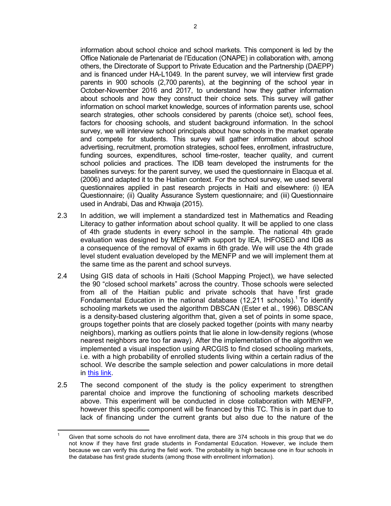information about school choice and school markets. This component is led by the Office Nationale de Partenariat de l'Education (ONAPE) in collaboration with, among others, the Directorate of Support to Private Education and the Partnership (DAEPP) and is financed under HA-L1049. In the parent survey, we will interview first grade parents in 900 schools (2,700 parents), at the beginning of the school year in October-November 2016 and 2017, to understand how they gather information about schools and how they construct their choice sets. This survey will gather information on school market knowledge, sources of information parents use, school search strategies, other schools considered by parents (choice set), school fees, factors for choosing schools, and student background information. In the school survey, we will interview school principals about how schools in the market operate and compete for students. This survey will gather information about school advertising, recruitment, promotion strategies, school fees, enrollment, infrastructure, funding sources, expenditures, school time-roster, teacher quality, and current school policies and practices. The IDB team developed the instruments for the baselines surveys: for the parent survey, we used the questionnaire in Elacqua et al. (2006) and adapted it to the Haitian context. For the school survey, we used several questionnaires applied in past research projects in Haiti and elsewhere: (i) IEA Questionnaire; (ii) Quality Assurance System questionnaire; and (iii) Questionnaire used in Andrabi, Das and Khwaja (2015).

- 2.3 In addition, we will implement a standardized test in Mathematics and Reading Literacy to gather information about school quality. It will be applied to one class of 4th grade students in every school in the sample. The national 4th grade evaluation was designed by MENFP with support by IEA, IHFOSED and IDB as a consequence of the removal of exams in 6th grade. We will use the 4th grade level student evaluation developed by the MENFP and we will implement them at the same time as the parent and school surveys.
- 2.4 Using GIS data of schools in Haiti (School Mapping Project), we have selected the 90 "closed school markets" across the country. Those schools were selected from all of the Haitian public and private schools that have first grade Fondamental Education in the national database  $(12,211 \text{ schools})$ .<sup>1</sup> To identify schooling markets we used the algorithm DBSCAN (Ester et al., 1996). DBSCAN is a density-based clustering algorithm that, given a set of points in some space, groups together points that are closely packed together (points with many nearby neighbors), marking as outliers points that lie alone in low-density regions (whose nearest neighbors are too far away). After the implementation of the algorithm we implemented a visual inspection using ARCGIS to find closed schooling markets, i.e. with a high probability of enrolled students living within a certain radius of the school. We describe the sample selection and power calculations in more detail in [this link.](http://idbdocs.iadb.org/wsdocs/getDocument.aspx?DOCNUM=40569626)
- 2.5 The second component of the study is the policy experiment to strengthen parental choice and improve the functioning of schooling markets described above. This experiment will be conducted in close collaboration with MENFP, however this specific component will be financed by this TC. This is in part due to lack of financing under the current grants but also due to the nature of the

 $\overline{\phantom{a}}$ 1 Given that some schools do not have enrollment data, there are 374 schools in this group that we do not know if they have first grade students in Fondamental Education. However, we include them because we can verify this during the field work. The probability is high because one in four schools in the database has first grade students (among those with enrollment information).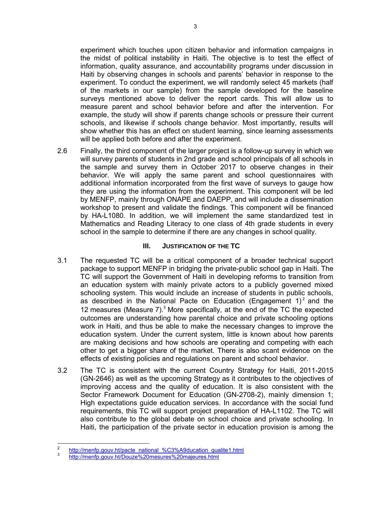experiment which touches upon citizen behavior and information campaigns in the midst of political instability in Haiti. The objective is to test the effect of information, quality assurance, and accountability programs under discussion in Haiti by observing changes in schools and parents' behavior in response to the experiment. To conduct the experiment, we will randomly select 45 markets (half of the markets in our sample) from the sample developed for the baseline surveys mentioned above to deliver the report cards. This will allow us to measure parent and school behavior before and after the intervention. For example, the study will show if parents change schools or pressure their current schools, and likewise if schools change behavior. Most importantly, results will show whether this has an effect on student learning, since learning assessments will be applied both before and after the experiment.

2.6 Finally, the third component of the larger project is a follow-up survey in which we will survey parents of students in 2nd grade and school principals of all schools in the sample and survey them in October 2017 to observe changes in their behavior. We will apply the same parent and school questionnaires with additional information incorporated from the first wave of surveys to gauge how they are using the information from the experiment. This component will be led by MENFP, mainly through ONAPE and DAEPP, and will include a dissemination workshop to present and validate the findings. This component will be financed by HA-L1080. In addition, we will implement the same standardized test in Mathematics and Reading Literacy to one class of 4th grade students in every school in the sample to determine if there are any changes in school quality.

### **III. JUSTIFICATION OF THE TC**

- 3.1 The requested TC will be a critical component of a broader technical support package to support MENFP in bridging the private-public school gap in Haiti. The TC will support the Government of Haiti in developing reforms to transition from an education system with mainly private actors to a publicly governed mixed schooling system. This would include an increase of students in public schools, as described in the National Pacte on Education (Engagement  $1)^2$  and the 12 measures (Measure  $7$ ).<sup>3</sup> More specifically, at the end of the TC the expected outcomes are understanding how parental choice and private schooling options work in Haiti, and thus be able to make the necessary changes to improve the education system. Under the current system, little is known about how parents are making decisions and how schools are operating and competing with each other to get a bigger share of the market. There is also scant evidence on the effects of existing policies and regulations on parent and school behavior.
- 3.2 The TC is consistent with the current Country Strategy for Haiti, 2011-2015 (GN-2646) as well as the upcoming Strategy as it contributes to the objectives of improving access and the quality of education. It is also consistent with the Sector Framework Document for Education (GN-2708-2), mainly dimension 1; High expectations guide education services. In accordance with the social fund requirements, this TC will support project preparation of HA-L1102. The TC will also contribute to the global debate on school choice and private schooling. In Haiti, the participation of the private sector in education provision is among the

 $\frac{1}{2}$ [http://menfp.gouv.ht/pacte\\_national\\_%C3%A9ducation\\_qualite1.html](http://menfp.gouv.ht/pacte_national_%C3%A9ducation_qualite1.html)

<sup>3</sup> <http://menfp.gouv.ht/Douze%20mesures%20majeures.html>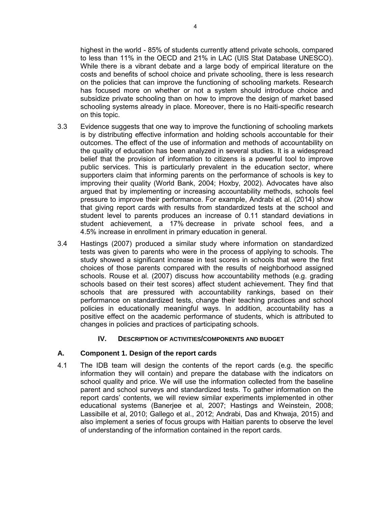highest in the world - 85% of students currently attend private schools, compared to less than 11% in the OECD and 21% in LAC (UIS Stat Database UNESCO). While there is a vibrant debate and a large body of empirical literature on the costs and benefits of school choice and private schooling, there is less research on the policies that can improve the functioning of schooling markets. Research has focused more on whether or not a system should introduce choice and subsidize private schooling than on how to improve the design of market based schooling systems already in place. Moreover, there is no Haiti-specific research on this topic.

- 3.3 Evidence suggests that one way to improve the functioning of schooling markets is by distributing effective information and holding schools accountable for their outcomes. The effect of the use of information and methods of accountability on the quality of education has been analyzed in several studies. It is a widespread belief that the provision of information to citizens is a powerful tool to improve public services. This is particularly prevalent in the education sector, where supporters claim that informing parents on the performance of schools is key to improving their quality (World Bank, 2004; Hoxby, 2002). Advocates have also argued that by implementing or increasing accountability methods, schools feel pressure to improve their performance. For example, Andrabi et al. (2014) show that giving report cards with results from standardized tests at the school and student level to parents produces an increase of 0.11 standard deviations in student achievement, a 17% decrease in private school fees, and a 4.5% increase in enrollment in primary education in general.
- 3.4 Hastings (2007) produced a similar study where information on standardized tests was given to parents who were in the process of applying to schools. The study showed a significant increase in test scores in schools that were the first choices of those parents compared with the results of neighborhood assigned schools. Rouse et al. (2007) discuss how accountability methods (e.g. grading schools based on their test scores) affect student achievement. They find that schools that are pressured with accountability rankings, based on their performance on standardized tests, change their teaching practices and school policies in educationally meaningful ways. In addition, accountability has a positive effect on the academic performance of students, which is attributed to changes in policies and practices of participating schools.

#### **IV. DESCRIPTION OF ACTIVITIES/COMPONENTS AND BUDGET**

#### **A. Component 1. Design of the report cards**

4.1 The IDB team will design the contents of the report cards (e.g. the specific information they will contain) and prepare the database with the indicators on school quality and price. We will use the information collected from the baseline parent and school surveys and standardized tests. To gather information on the report cards' contents, we will review similar experiments implemented in other educational systems (Banerjee et al, 2007; Hastings and Weinstein, 2008; Lassibille et al, 2010; Gallego et al., 2012; Andrabi, Das and Khwaja, 2015) and also implement a series of focus groups with Haitian parents to observe the level of understanding of the information contained in the report cards.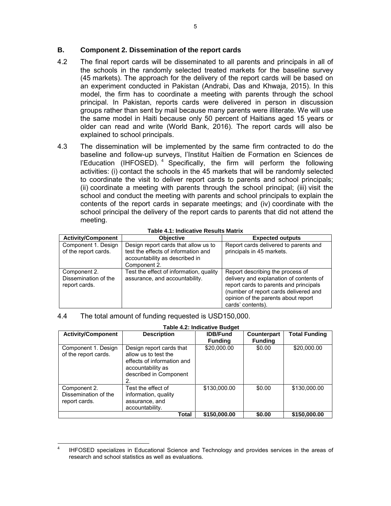#### **B. Component 2. Dissemination of the report cards**

- 4.2 The final report cards will be disseminated to all parents and principals in all of the schools in the randomly selected treated markets for the baseline survey (45 markets). The approach for the delivery of the report cards will be based on an experiment conducted in Pakistan (Andrabi, Das and Khwaja, 2015). In this model, the firm has to coordinate a meeting with parents through the school principal. In Pakistan, reports cards were delivered in person in discussion groups rather than sent by mail because many parents were illiterate. We will use the same model in Haiti because only 50 percent of Haitians aged 15 years or older can read and write (World Bank, 2016). The report cards will also be explained to school principals.
- 4.3 The dissemination will be implemented by the same firm contracted to do the baseline and follow-up surveys, l'Institut Haïtien de Formation en Sciences de l'Education (IHFOSED).<sup>4</sup> Specifically, the firm will perform the following activities: (i) contact the schools in the 45 markets that will be randomly selected to coordinate the visit to deliver report cards to parents and school principals; (ii) coordinate a meeting with parents through the school principal; (iii) visit the school and conduct the meeting with parents and school principals to explain the contents of the report cards in separate meetings; and (iv) coordinate with the school principal the delivery of the report cards to parents that did not attend the meeting.

| <b>Activity/Component</b>                             | <b>Objective</b>                                                                                                              | <b>Expected outputs</b>                                                                                                                                                                                                    |  |  |  |  |
|-------------------------------------------------------|-------------------------------------------------------------------------------------------------------------------------------|----------------------------------------------------------------------------------------------------------------------------------------------------------------------------------------------------------------------------|--|--|--|--|
| Component 1. Design<br>of the report cards.           | Design report cards that allow us to<br>test the effects of information and<br>accountability as described in<br>Component 2. | Report cards delivered to parents and<br>principals in 45 markets.                                                                                                                                                         |  |  |  |  |
| Component 2.<br>Dissemination of the<br>report cards. | Test the effect of information, quality<br>assurance, and accountability.                                                     | Report describing the process of<br>delivery and explanation of contents of<br>report cards to parents and principals<br>(number of report cards delivered and<br>opinion of the parents about report<br>cards' contents). |  |  |  |  |

#### **Table 4.1: Indicative Results Matrix**

#### 4.4 The total amount of funding requested is USD150,000.

| <b>Table 4.2: Indicative Budget</b>                   |                                                                                                                                     |                                   |                               |                      |  |  |  |
|-------------------------------------------------------|-------------------------------------------------------------------------------------------------------------------------------------|-----------------------------------|-------------------------------|----------------------|--|--|--|
| <b>Activity/Component</b>                             | <b>Description</b>                                                                                                                  | <b>IDB/Fund</b><br><b>Funding</b> | Counterpart<br><b>Funding</b> | <b>Total Funding</b> |  |  |  |
| Component 1. Design<br>of the report cards.           | Design report cards that<br>allow us to test the<br>effects of information and<br>accountability as<br>described in Component<br>2. | \$20,000.00                       | \$0.00                        | \$20,000.00          |  |  |  |
| Component 2.<br>Dissemination of the<br>report cards. | Test the effect of<br>information, quality<br>assurance, and<br>accountability.                                                     | \$130,000.00                      | \$0.00                        | \$130,000.00         |  |  |  |
|                                                       | Total                                                                                                                               | \$150,000.00                      | \$0.00                        | \$150,000.00         |  |  |  |

 $\overline{a}$ 4 IHFOSED specializes in Educational Science and Technology and provides services in the areas of research and school statistics as well as evaluations.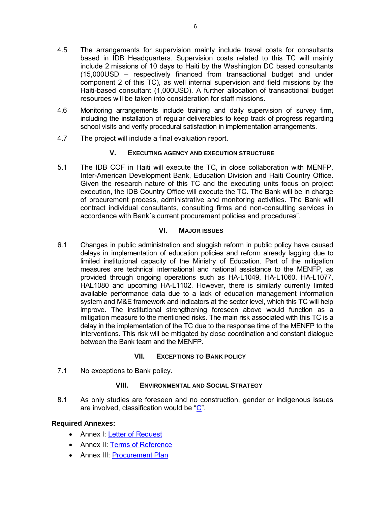- 4.5 The arrangements for supervision mainly include travel costs for consultants based in IDB Headquarters. Supervision costs related to this TC will mainly include 2 missions of 10 days to Haiti by the Washington DC based consultants (15,000USD – respectively financed from transactional budget and under component 2 of this TC), as well internal supervision and field missions by the Haiti-based consultant (1,000USD). A further allocation of transactional budget resources will be taken into consideration for staff missions.
- 4.6 Monitoring arrangements include training and daily supervision of survey firm, including the installation of regular deliverables to keep track of progress regarding school visits and verify procedural satisfaction in implementation arrangements.
- 4.7 The project will include a final evaluation report.

### **V. EXECUTING AGENCY AND EXECUTION STRUCTURE**

5.1 The IDB COF in Haiti will execute the TC, in close collaboration with MENFP, Inter-American Development Bank, Education Division and Haiti Country Office. Given the research nature of this TC and the executing units focus on project execution, the IDB Country Office will execute the TC. The Bank will be in charge of procurement process, administrative and monitoring activities. The Bank will contract individual consultants, consulting firms and non-consulting services in accordance with Bank´s current procurement policies and procedures".

### **VI. MAJOR ISSUES**

6.1 Changes in public administration and sluggish reform in public policy have caused delays in implementation of education policies and reform already lagging due to limited institutional capacity of the Ministry of Education. Part of the mitigation measures are technical international and national assistance to the MENFP, as provided through ongoing operations such as HA-L1049, HA-L1060, HA-L1077, HAL1080 and upcoming HA-L1102. However, there is similarly currently limited available performance data due to a lack of education management information system and M&E framework and indicators at the sector level, which this TC will help improve. The institutional strengthening foreseen above would function as a mitigation measure to the mentioned risks. The main risk associated with this TC is a delay in the implementation of the TC due to the response time of the MENFP to the interventions. This risk will be mitigated by close coordination and constant dialogue between the Bank team and the MENFP.

### **VII. EXCEPTIONS TO BANK POLICY**

7.1 No exceptions to Bank policy.

### **VIII. ENVIRONMENTAL AND SOCIAL STRATEGY**

8.1 As only studies are foreseen and no construction, gender or indigenous issues are involved, classification would be ["C"](http://idbdocs.iadb.org/wsdocs/getDocument.aspx?DOCNUM=40392114).

### **Required Annexes:**

- Annex I: Letter of [Request](http://idbdocs.iadb.org/wsdocs/getDocument.aspx?DOCNUM=40391151)
- Annex II: [Terms of Reference](http://idbdocs.iadb.org/wsdocs/getDocument.aspx?DOCNUM=40391115)
- Annex III: [Procurement Plan](http://idbdocs.iadb.org/wsdocs/getDocument.aspx?DOCNUM=40391515)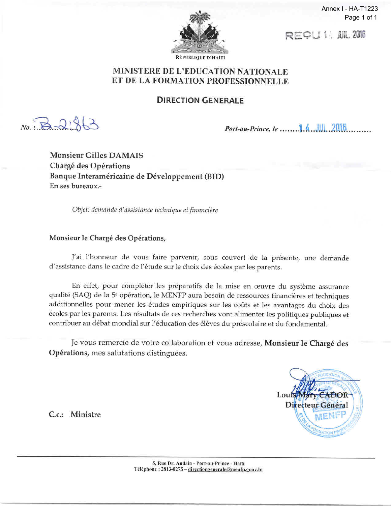

Annex I - HA-T1223 Page 1 of 1

REQU 14 JUL. 2016

# MINISTERE DE L'EDUCATION NATIONALE ET DE LA FORMATION PROFESSIONNELLE

**DIRECTION GENERALE**

No.  $B - 2,963$ 

*Port-au-Prince, Ie* <sup>00000</sup> •• 0 04 •• <sup>0</sup>

Monsieur Gilles DAMAIS Chargé des Opérations Banque Interaméricaine de Développement (BID) En ses bureaux.-

*Objet: demande d' assistance technique et financiere*

## Monsieur le Chargé des Opérations,

J'ai l'honneur de vous faire parvenir, sous couvert de la présente, une demande d'assistance dans le cadre de l'étude sur le choix des écoles par les parents.

En effet, pour compléter les préparatifs de la mise en œuvre du système assurance qualité (SAQ) de la 5<sup>e</sup> opération, le MENFP aura besoin de ressources financières et techniques additionnelles pour mener les études empiriques sur les coûts et les avantages du choix des écoles par les parents. Les résultats de ces recherches vont alimenter les politiques publiques et contribuer au débat mondial sur l'éducation des élèves du préscolaire et du fondamental.

Je vous remercie de votre collaboration et vous adresse, Monsieur le Chargé des Opérations, mes salutations distinguées.



C.c.: Ministre

5, Rue Dr. Audain - Port-au-Prince - Ha'iti Téléphone: 2813-0275 - directiongenerale@menfp.gouv.ht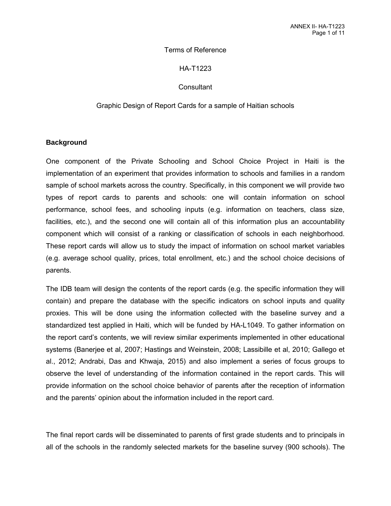#### Terms of Reference

#### HA-T1223

#### **Consultant**

#### Graphic Design of Report Cards for a sample of Haitian schools

#### **Background**

One component of the Private Schooling and School Choice Project in Haiti is the implementation of an experiment that provides information to schools and families in a random sample of school markets across the country. Specifically, in this component we will provide two types of report cards to parents and schools: one will contain information on school performance, school fees, and schooling inputs (e.g. information on teachers, class size, facilities, etc.), and the second one will contain all of this information plus an accountability component which will consist of a ranking or classification of schools in each neighborhood. These report cards will allow us to study the impact of information on school market variables (e.g. average school quality, prices, total enrollment, etc.) and the school choice decisions of parents.

The IDB team will design the contents of the report cards (e.g. the specific information they will contain) and prepare the database with the specific indicators on school inputs and quality proxies. This will be done using the information collected with the baseline survey and a standardized test applied in Haiti, which will be funded by HA-L1049. To gather information on the report card's contents, we will review similar experiments implemented in other educational systems (Banerjee et al, 2007; Hastings and Weinstein, 2008; Lassibille et al, 2010; Gallego et al., 2012; Andrabi, Das and Khwaja, 2015) and also implement a series of focus groups to observe the level of understanding of the information contained in the report cards. This will provide information on the school choice behavior of parents after the reception of information and the parents' opinion about the information included in the report card.

The final report cards will be disseminated to parents of first grade students and to principals in all of the schools in the randomly selected markets for the baseline survey (900 schools). The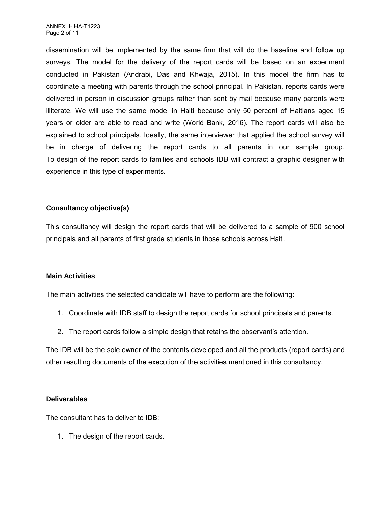dissemination will be implemented by the same firm that will do the baseline and follow up surveys. The model for the delivery of the report cards will be based on an experiment conducted in Pakistan (Andrabi, Das and Khwaja, 2015). In this model the firm has to coordinate a meeting with parents through the school principal. In Pakistan, reports cards were delivered in person in discussion groups rather than sent by mail because many parents were illiterate. We will use the same model in Haiti because only 50 percent of Haitians aged 15 years or older are able to read and write (World Bank, 2016). The report cards will also be explained to school principals. Ideally, the same interviewer that applied the school survey will be in charge of delivering the report cards to all parents in our sample group. To design of the report cards to families and schools IDB will contract a graphic designer with experience in this type of experiments.

### **Consultancy objective(s)**

This consultancy will design the report cards that will be delivered to a sample of 900 school principals and all parents of first grade students in those schools across Haiti.

### **Main Activities**

The main activities the selected candidate will have to perform are the following:

- 1. Coordinate with IDB staff to design the report cards for school principals and parents.
- 2. The report cards follow a simple design that retains the observant's attention.

The IDB will be the sole owner of the contents developed and all the products (report cards) and other resulting documents of the execution of the activities mentioned in this consultancy.

### **Deliverables**

The consultant has to deliver to IDB:

1. The design of the report cards.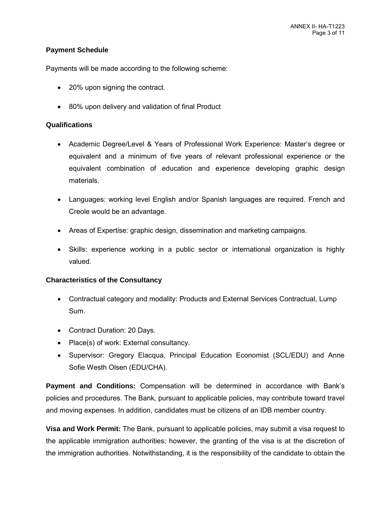### **Payment Schedule**

Payments will be made according to the following scheme:

- 20% upon signing the contract.
- 80% upon delivery and validation of final Product

### **Qualifications**

- Academic Degree/Level & Years of Professional Work Experience: Master's degree or equivalent and a minimum of five years of relevant professional experience or the equivalent combination of education and experience developing graphic design materials.
- Languages: working level English and/or Spanish languages are required. French and Creole would be an advantage.
- Areas of Expertise: graphic design, dissemination and marketing campaigns.
- Skills: experience working in a public sector or international organization is highly valued.

### **Characteristics of the Consultancy**

- Contractual category and modality: Products and External Services Contractual, Lump Sum.
- Contract Duration: 20 Days.
- Place(s) of work: External consultancy.
- Supervisor: Gregory Elacqua, Principal Education Economist (SCL/EDU) and Anne Sofie Westh Olsen (EDU/CHA).

**Payment and Conditions:** Compensation will be determined in accordance with Bank's policies and procedures. The Bank, pursuant to applicable policies, may contribute toward travel and moving expenses. In addition, candidates must be citizens of an IDB member country.

**Visa and Work Permit:** The Bank, pursuant to applicable policies, may submit a visa request to the applicable immigration authorities; however, the granting of the visa is at the discretion of the immigration authorities. Notwithstanding, it is the responsibility of the candidate to obtain the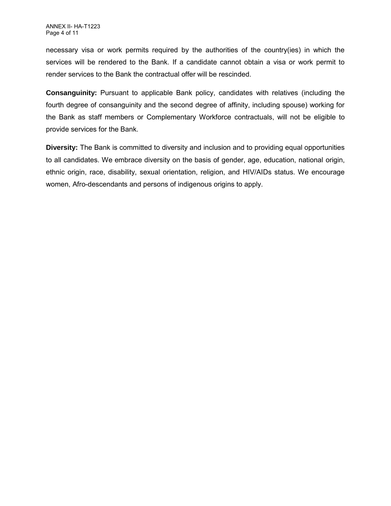necessary visa or work permits required by the authorities of the country(ies) in which the services will be rendered to the Bank. If a candidate cannot obtain a visa or work permit to render services to the Bank the contractual offer will be rescinded.

**Consanguinity:** Pursuant to applicable Bank policy, candidates with relatives (including the fourth degree of consanguinity and the second degree of affinity, including spouse) working for the Bank as staff members or Complementary Workforce contractuals, will not be eligible to provide services for the Bank.

**Diversity:** The Bank is committed to diversity and inclusion and to providing equal opportunities to all candidates. We embrace diversity on the basis of gender, age, education, national origin, ethnic origin, race, disability, sexual orientation, religion, and HIV/AIDs status. We encourage women, Afro-descendants and persons of indigenous origins to apply.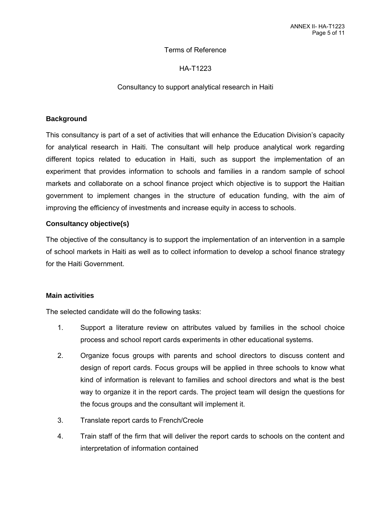#### Terms of Reference

### HA-T1223

#### Consultancy to support analytical research in Haiti

#### **Background**

This consultancy is part of a set of activities that will enhance the Education Division's capacity for analytical research in Haiti. The consultant will help produce analytical work regarding different topics related to education in Haiti, such as support the implementation of an experiment that provides information to schools and families in a random sample of school markets and collaborate on a school finance project which objective is to support the Haitian government to implement changes in the structure of education funding, with the aim of improving the efficiency of investments and increase equity in access to schools.

### **Consultancy objective(s)**

The objective of the consultancy is to support the implementation of an intervention in a sample of school markets in Haiti as well as to collect information to develop a school finance strategy for the Haiti Government.

#### **Main activities**

The selected candidate will do the following tasks:

- 1. Support a literature review on attributes valued by families in the school choice process and school report cards experiments in other educational systems.
- 2. Organize focus groups with parents and school directors to discuss content and design of report cards. Focus groups will be applied in three schools to know what kind of information is relevant to families and school directors and what is the best way to organize it in the report cards. The project team will design the questions for the focus groups and the consultant will implement it.
- 3. Translate report cards to French/Creole
- 4. Train staff of the firm that will deliver the report cards to schools on the content and interpretation of information contained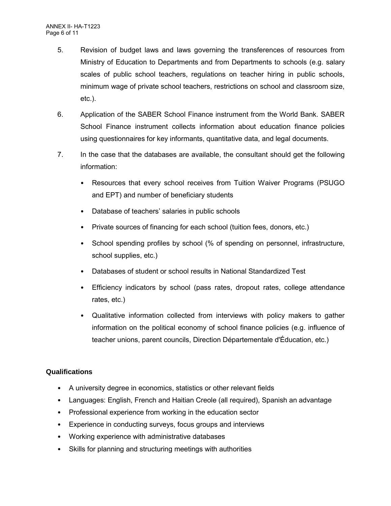- 5. Revision of budget laws and laws governing the transferences of resources from Ministry of Education to Departments and from Departments to schools (e.g. salary scales of public school teachers, regulations on teacher hiring in public schools, minimum wage of private school teachers, restrictions on school and classroom size, etc.).
- 6. Application of the SABER School Finance instrument from the World Bank. SABER School Finance instrument collects information about education finance policies using questionnaires for key informants, quantitative data, and legal documents.
- 7. In the case that the databases are available, the consultant should get the following information:
	- Resources that every school receives from Tuition Waiver Programs (PSUGO and EPT) and number of beneficiary students
	- Database of teachers' salaries in public schools
	- Private sources of financing for each school (tuition fees, donors, etc.)
	- School spending profiles by school (% of spending on personnel, infrastructure, school supplies, etc.)
	- Databases of student or school results in National Standardized Test
	- Efficiency indicators by school (pass rates, dropout rates, college attendance rates, etc.)
	- Qualitative information collected from interviews with policy makers to gather information on the political economy of school finance policies (e.g. influence of teacher unions, parent councils, Direction Départementale d'Éducation, etc.)

### **Qualifications**

- A university degree in economics, statistics or other relevant fields
- Languages: English, French and Haitian Creole (all required), Spanish an advantage
- Professional experience from working in the education sector
- Experience in conducting surveys, focus groups and interviews
- Working experience with administrative databases
- Skills for planning and structuring meetings with authorities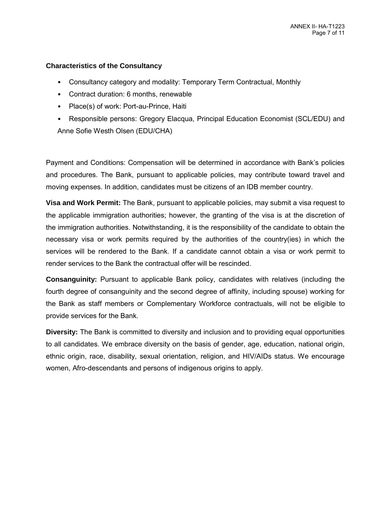#### **Characteristics of the Consultancy**

- Consultancy category and modality: Temporary Term Contractual, Monthly
- Contract duration: 6 months, renewable
- Place(s) of work: Port-au-Prince, Haiti
- Responsible persons: Gregory Elacqua, Principal Education Economist (SCL/EDU) and Anne Sofie Westh Olsen (EDU/CHA)

Payment and Conditions: Compensation will be determined in accordance with Bank's policies and procedures. The Bank, pursuant to applicable policies, may contribute toward travel and moving expenses. In addition, candidates must be citizens of an IDB member country.

**Visa and Work Permit:** The Bank, pursuant to applicable policies, may submit a visa request to the applicable immigration authorities; however, the granting of the visa is at the discretion of the immigration authorities. Notwithstanding, it is the responsibility of the candidate to obtain the necessary visa or work permits required by the authorities of the country(ies) in which the services will be rendered to the Bank. If a candidate cannot obtain a visa or work permit to render services to the Bank the contractual offer will be rescinded.

**Consanguinity:** Pursuant to applicable Bank policy, candidates with relatives (including the fourth degree of consanguinity and the second degree of affinity, including spouse) working for the Bank as staff members or Complementary Workforce contractuals, will not be eligible to provide services for the Bank.

**Diversity:** The Bank is committed to diversity and inclusion and to providing equal opportunities to all candidates. We embrace diversity on the basis of gender, age, education, national origin, ethnic origin, race, disability, sexual orientation, religion, and HIV/AIDs status. We encourage women, Afro-descendants and persons of indigenous origins to apply.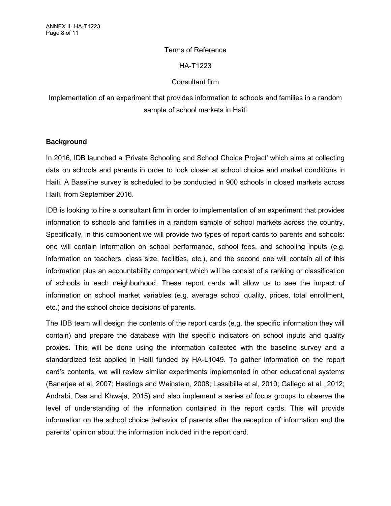#### Terms of Reference

#### HA-T1223

### Consultant firm

Implementation of an experiment that provides information to schools and families in a random sample of school markets in Haiti

#### **Background**

In 2016, IDB launched a 'Private Schooling and School Choice Project' which aims at collecting data on schools and parents in order to look closer at school choice and market conditions in Haiti. A Baseline survey is scheduled to be conducted in 900 schools in closed markets across Haiti, from September 2016.

IDB is looking to hire a consultant firm in order to implementation of an experiment that provides information to schools and families in a random sample of school markets across the country. Specifically, in this component we will provide two types of report cards to parents and schools: one will contain information on school performance, school fees, and schooling inputs (e.g. information on teachers, class size, facilities, etc.), and the second one will contain all of this information plus an accountability component which will be consist of a ranking or classification of schools in each neighborhood. These report cards will allow us to see the impact of information on school market variables (e.g. average school quality, prices, total enrollment, etc.) and the school choice decisions of parents.

The IDB team will design the contents of the report cards (e.g. the specific information they will contain) and prepare the database with the specific indicators on school inputs and quality proxies. This will be done using the information collected with the baseline survey and a standardized test applied in Haiti funded by HA-L1049. To gather information on the report card's contents, we will review similar experiments implemented in other educational systems (Banerjee et al, 2007; Hastings and Weinstein, 2008; Lassibille et al, 2010; Gallego et al., 2012; Andrabi, Das and Khwaja, 2015) and also implement a series of focus groups to observe the level of understanding of the information contained in the report cards. This will provide information on the school choice behavior of parents after the reception of information and the parents' opinion about the information included in the report card.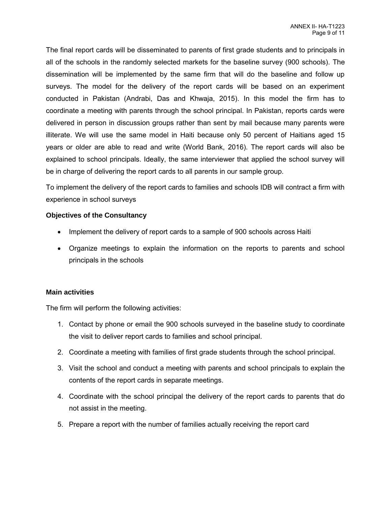The final report cards will be disseminated to parents of first grade students and to principals in all of the schools in the randomly selected markets for the baseline survey (900 schools). The dissemination will be implemented by the same firm that will do the baseline and follow up surveys. The model for the delivery of the report cards will be based on an experiment conducted in Pakistan (Andrabi, Das and Khwaja, 2015). In this model the firm has to coordinate a meeting with parents through the school principal. In Pakistan, reports cards were delivered in person in discussion groups rather than sent by mail because many parents were illiterate. We will use the same model in Haiti because only 50 percent of Haitians aged 15 years or older are able to read and write (World Bank, 2016). The report cards will also be explained to school principals. Ideally, the same interviewer that applied the school survey will be in charge of delivering the report cards to all parents in our sample group.

To implement the delivery of the report cards to families and schools IDB will contract a firm with experience in school surveys

### **Objectives of the Consultancy**

- Implement the delivery of report cards to a sample of 900 schools across Haiti
- Organize meetings to explain the information on the reports to parents and school principals in the schools

### **Main activities**

The firm will perform the following activities:

- 1. Contact by phone or email the 900 schools surveyed in the baseline study to coordinate the visit to deliver report cards to families and school principal.
- 2. Coordinate a meeting with families of first grade students through the school principal.
- 3. Visit the school and conduct a meeting with parents and school principals to explain the contents of the report cards in separate meetings.
- 4. Coordinate with the school principal the delivery of the report cards to parents that do not assist in the meeting.
- 5. Prepare a report with the number of families actually receiving the report card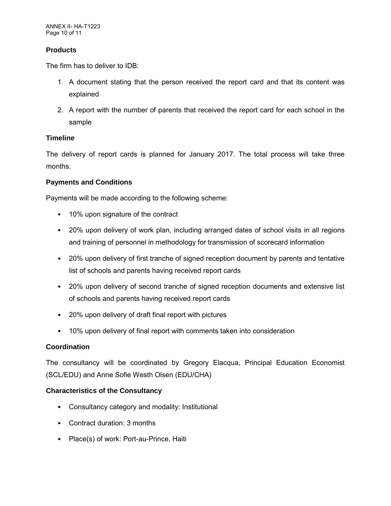### **Products**

The firm has to deliver to IDB:

- 1. A document stating that the person received the report card and that its content was explained
- 2. A report with the number of parents that received the report card for each school in the sample

### **Timeline**

The delivery of report cards is planned for January 2017. The total process will take three months.

### **Payments and Conditions**

Payments will be made according to the following scheme:

- 10% upon signature of the contract
- 20% upon delivery of work plan, including arranged dates of school visits in all regions and training of personnel in methodology for transmission of scorecard information
- 20% upon delivery of first tranche of signed reception document by parents and tentative list of schools and parents having received report cards
- 20% upon delivery of second tranche of signed reception documents and extensive list of schools and parents having received report cards
- 20% upon delivery of draft final report with pictures
- 10% upon delivery of final report with comments taken into consideration

### **Coordination**

The consultancy will be coordinated by Gregory Elacqua, Principal Education Economist (SCL/EDU) and Anne Sofie Westh Olsen (EDU/CHA)

### **Characteristics of the Consultancy**

- Consultancy category and modality: Institutional
- Contract duration: 3 months
- Place(s) of work: Port-au-Prince, Haiti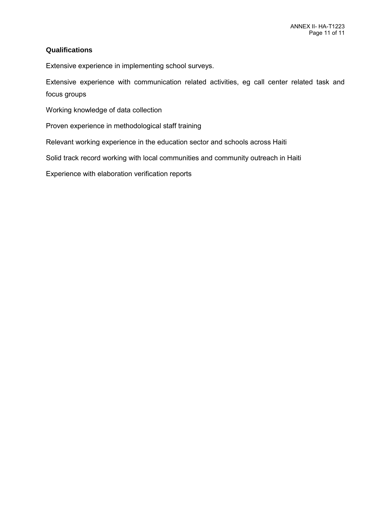### **Qualifications**

Extensive experience in implementing school surveys.

Extensive experience with communication related activities, eg call center related task and focus groups

Working knowledge of data collection

Proven experience in methodological staff training

Relevant working experience in the education sector and schools across Haiti

Solid track record working with local communities and community outreach in Haiti

Experience with elaboration verification reports